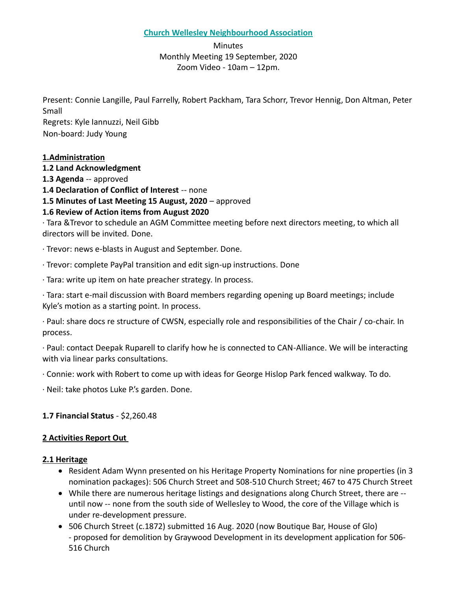#### **Church Wellesley Neighbourhood Association**

Minutes Monthly Meeting 19 September, 2020 Zoom Video - 10am – 12pm.

Present: Connie Langille, Paul Farrelly, Robert Packham, Tara Schorr, Trevor Hennig, Don Altman, Peter Small Regrets: Kyle Iannuzzi, Neil Gibb Non-board: Judy Young

# **1.Administration**

**1.2 Land Acknowledgment 1.3 Agenda** -- approved

**1.4 Declaration of Conflict of Interest** -- none

**1.5 Minutes of Last Meeting 15 August, 2020** – approved

# **1.6 Review of Action items from August 2020**

· Tara &Trevor to schedule an AGM Committee meeting before next directors meeting, to which all directors will be invited. Done.

· Trevor: news e-blasts in August and September. Done.

· Trevor: complete PayPal transition and edit sign-up instructions. Done

· Tara: write up item on hate preacher strategy. In process.

· Tara: start e-mail discussion with Board members regarding opening up Board meetings; include Kyle's motion as a starting point. In process.

· Paul: share docs re structure of CWSN, especially role and responsibilities of the Chair / co-chair. In process.

· Paul: contact Deepak Ruparell to clarify how he is connected to CAN-Alliance. We will be interacting with via linear parks consultations.

· Connie: work with Robert to come up with ideas for George Hislop Park fenced walkway. To do.

· Neil: take photos Luke P.'s garden. Done.

# **1.7 Financial Status** - \$2,260.48

# **2 Activities Report Out**

#### **2.1 Heritage**

- Resident Adam Wynn presented on his Heritage Property Nominations for nine properties (in 3 nomination packages): 506 Church Street and 508-510 Church Street; 467 to 475 Church Street
- While there are numerous heritage listings and designations along Church Street, there are until now -- none from the south side of Wellesley to Wood, the core of the Village which is under re-development pressure.
- 506 Church Street (c.1872) submitted 16 Aug. 2020 (now Boutique Bar, House of Glo) - proposed for demolition by Graywood Development in its development application for 506- 516 Church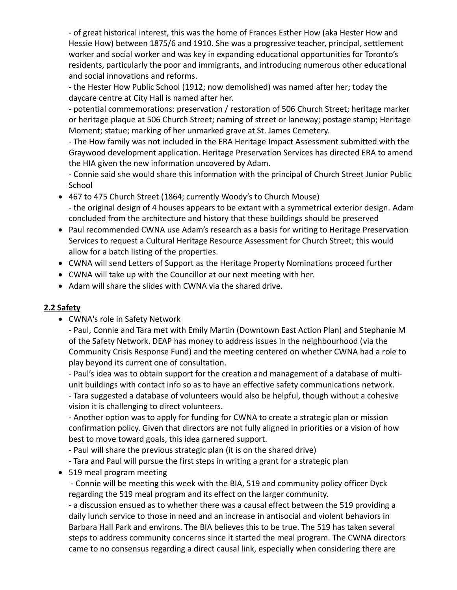- of great historical interest, this was the home of Frances Esther How (aka Hester How and Hessie How) between 1875/6 and 1910. She was a progressive teacher, principal, settlement worker and social worker and was key in expanding educational opportunities for Toronto's residents, particularly the poor and immigrants, and introducing numerous other educational and social innovations and reforms.

- the Hester How Public School (1912; now demolished) was named after her; today the daycare centre at City Hall is named after her.

- potential commemorations: preservation / restoration of 506 Church Street; heritage marker or heritage plaque at 506 Church Street; naming of street or laneway; postage stamp; Heritage Moment; statue; marking of her unmarked grave at St. James Cemetery.

- The How family was not included in the ERA Heritage Impact Assessment submitted with the Graywood development application. Heritage Preservation Services has directed ERA to amend the HIA given the new information uncovered by Adam.

- Connie said she would share this information with the principal of Church Street Junior Public School

- 467 to 475 Church Street (1864; currently Woody's to Church Mouse) - the original design of 4 houses appears to be extant with a symmetrical exterior design. Adam concluded from the architecture and history that these buildings should be preserved
- Paul recommended CWNA use Adam's research as a basis for writing to Heritage Preservation Services to request a Cultural Heritage Resource Assessment for Church Street; this would allow for a batch listing of the properties.
- CWNA will send Letters of Support as the Heritage Property Nominations proceed further
- CWNA will take up with the Councillor at our next meeting with her.
- Adam will share the slides with CWNA via the shared drive.

# **2.2 Safety**

• CWNA's role in Safety Network

- Paul, Connie and Tara met with Emily Martin (Downtown East Action Plan) and Stephanie M of the Safety Network. DEAP has money to address issues in the neighbourhood (via the Community Crisis Response Fund) and the meeting centered on whether CWNA had a role to play beyond its current one of consultation.

- Paul's idea was to obtain support for the creation and management of a database of multiunit buildings with contact info so as to have an effective safety communications network.

- Tara suggested a database of volunteers would also be helpful, though without a cohesive vision it is challenging to direct volunteers.

- Another option was to apply for funding for CWNA to create a strategic plan or mission confirmation policy. Given that directors are not fully aligned in priorities or a vision of how best to move toward goals, this idea garnered support.

- Paul will share the previous strategic plan (it is on the shared drive)

- Tara and Paul will pursue the first steps in writing a grant for a strategic plan

• 519 meal program meeting

- Connie will be meeting this week with the BIA, 519 and community policy officer Dyck regarding the 519 meal program and its effect on the larger community.

- a discussion ensued as to whether there was a causal effect between the 519 providing a daily lunch service to those in need and an increase in antisocial and violent behaviors in Barbara Hall Park and environs. The BIA believes this to be true. The 519 has taken several steps to address community concerns since it started the meal program. The CWNA directors came to no consensus regarding a direct causal link, especially when considering there are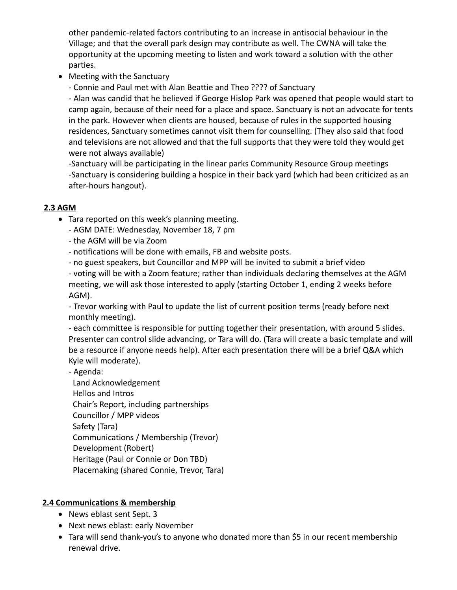other pandemic-related factors contributing to an increase in antisocial behaviour in the Village; and that the overall park design may contribute as well. The CWNA will take the opportunity at the upcoming meeting to listen and work toward a solution with the other parties.

• Meeting with the Sanctuary

- Connie and Paul met with Alan Beattie and Theo ???? of Sanctuary

- Alan was candid that he believed if George Hislop Park was opened that people would start to camp again, because of their need for a place and space. Sanctuary is not an advocate for tents in the park. However when clients are housed, because of rules in the supported housing residences, Sanctuary sometimes cannot visit them for counselling. (They also said that food and televisions are not allowed and that the full supports that they were told they would get were not always available)

-Sanctuary will be participating in the linear parks Community Resource Group meetings -Sanctuary is considering building a hospice in their back yard (which had been criticized as an after-hours hangout).

# **2.3 AGM**

- Tara reported on this week's planning meeting.
	- AGM DATE: Wednesday, November 18, 7 pm
	- the AGM will be via Zoom
	- notifications will be done with emails, FB and website posts.
	- no guest speakers, but Councillor and MPP will be invited to submit a brief video

- voting will be with a Zoom feature; rather than individuals declaring themselves at the AGM meeting, we will ask those interested to apply (starting October 1, ending 2 weeks before AGM).

- Trevor working with Paul to update the list of current position terms (ready before next monthly meeting).

- each committee is responsible for putting together their presentation, with around 5 slides. Presenter can control slide advancing, or Tara will do. (Tara will create a basic template and will be a resource if anyone needs help). After each presentation there will be a brief Q&A which Kyle will moderate).

- Agenda:

 Land Acknowledgement Hellos and Intros Chair's Report, including partnerships Councillor / MPP videos Safety (Tara) Communications / Membership (Trevor) Development (Robert) Heritage (Paul or Connie or Don TBD) Placemaking (shared Connie, Trevor, Tara)

# **2.4 Communications & membership**

- News eblast sent Sept. 3
- Next news eblast: early November
- Tara will send thank-you's to anyone who donated more than \$5 in our recent membership renewal drive.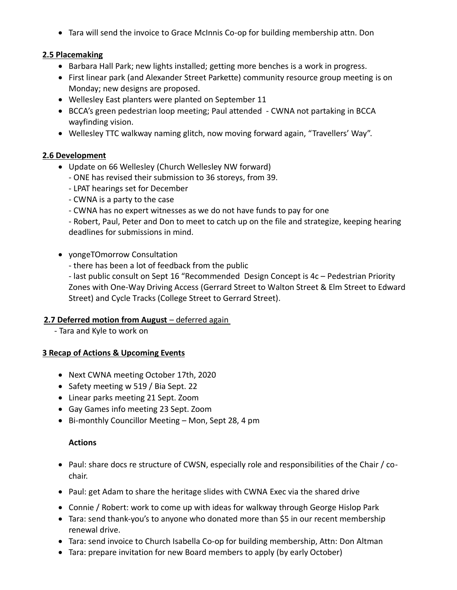• Tara will send the invoice to Grace McInnis Co-op for building membership attn. Don

#### **2.5 Placemaking**

- Barbara Hall Park; new lights installed; getting more benches is a work in progress.
- First linear park (and Alexander Street Parkette) community resource group meeting is on Monday; new designs are proposed.
- Wellesley East planters were planted on September 11
- BCCA's green pedestrian loop meeting; Paul attended CWNA not partaking in BCCA wayfinding vision.
- Wellesley TTC walkway naming glitch, now moving forward again, "Travellers' Way".

#### **2.6 Development**

- Update on 66 Wellesley (Church Wellesley NW forward)
	- ONE has revised their submission to 36 storeys, from 39.
	- LPAT hearings set for December
	- CWNA is a party to the case
	- CWNA has no expert witnesses as we do not have funds to pay for one

- Robert, Paul, Peter and Don to meet to catch up on the file and strategize, keeping hearing deadlines for submissions in mind.

- yongeTOmorrow Consultation
	- there has been a lot of feedback from the public

- last public consult on Sept 16 "Recommended Design Concept is 4c – Pedestrian Priority Zones with One-Way Driving Access (Gerrard Street to Walton Street & Elm Street to Edward Street) and Cycle Tracks (College Street to Gerrard Street).

#### **2.7 Deferred motion from August** – deferred again

- Tara and Kyle to work on

#### **3 Recap of Actions & Upcoming Events**

- Next CWNA meeting October 17th, 2020
- Safety meeting w 519 / Bia Sept. 22
- Linear parks meeting 21 Sept. Zoom
- Gay Games info meeting 23 Sept. Zoom
- Bi-monthly Councillor Meeting Mon, Sept 28, 4 pm

#### **Actions**

- Paul: share docs re structure of CWSN, especially role and responsibilities of the Chair / cochair.
- Paul: get Adam to share the heritage slides with CWNA Exec via the shared drive
- Connie / Robert: work to come up with ideas for walkway through George Hislop Park
- Tara: send thank-you's to anyone who donated more than \$5 in our recent membership renewal drive.
- Tara: send invoice to Church Isabella Co-op for building membership, Attn: Don Altman
- Tara: prepare invitation for new Board members to apply (by early October)